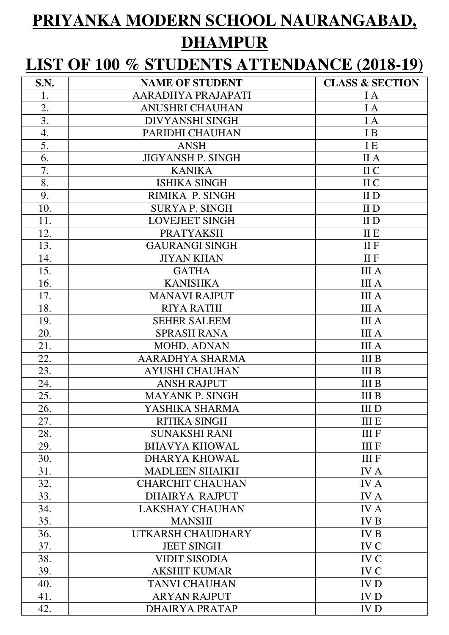## **PRIYANKA MODERN SCHOOL NAURANGABAD, DHAMPUR**

## **LIST OF 100 % STUDENTS ATTENDANCE (2018-19)**

| S.N. | <b>NAME OF STUDENT</b>   | <b>CLASS &amp; SECTION</b> |
|------|--------------------------|----------------------------|
| 1.   | AARADHYA PRAJAPATI       | I A                        |
| 2.   | <b>ANUSHRI CHAUHAN</b>   | I A                        |
| 3.   | <b>DIVYANSHI SINGH</b>   | I A                        |
| 4.   | PARIDHI CHAUHAN          | I B                        |
| 5.   | <b>ANSH</b>              | <b>IE</b>                  |
| 6.   | <b>JIGYANSH P. SINGH</b> | <b>IIA</b>                 |
| 7.   | <b>KANIKA</b>            | II C                       |
| 8.   | <b>ISHIKA SINGH</b>      | II C                       |
| 9.   | RIMIKA P. SINGH          | II <sub>D</sub>            |
| 10.  | <b>SURYA P. SINGH</b>    | II D                       |
| 11.  | <b>LOVEJEET SINGH</b>    | II D                       |
| 12.  | <b>PRATYAKSH</b>         | II E                       |
| 13.  | <b>GAURANGI SINGH</b>    | $II$ $F$                   |
| 14.  | <b>JIYAN KHAN</b>        | $II$ $F$                   |
| 15.  | <b>GATHA</b>             | <b>III</b> A               |
| 16.  | <b>KANISHKA</b>          | <b>III</b> A               |
| 17.  | <b>MANAVI RAJPUT</b>     | <b>III</b> A               |
| 18.  | <b>RIYA RATHI</b>        | <b>III</b> A               |
| 19.  | <b>SEHER SALEEM</b>      | <b>III</b> A               |
| 20.  | <b>SPRASH RANA</b>       | <b>III</b> A               |
| 21.  | MOHD. ADNAN              | <b>III</b> A               |
| 22.  | AARADHYA SHARMA          | <b>III B</b>               |
| 23.  | <b>AYUSHI CHAUHAN</b>    | <b>III B</b>               |
| 24.  | <b>ANSH RAJPUT</b>       | <b>III B</b>               |
| 25.  | <b>MAYANK P. SINGH</b>   | <b>III B</b>               |
| 26.  | YASHIKA SHARMA           | III D                      |
| 27.  | <b>RITIKA SINGH</b>      | <b>III E</b>               |
| 28.  | <b>SUNAKSHI RANI</b>     | <b>IIIF</b>                |
| 29.  | <b>BHAVYA KHOWAL</b>     | <b>III</b> F               |
| 30.  | <b>DHARYA KHOWAL</b>     | <b>IIIF</b>                |
| 31.  | <b>MADLEEN SHAIKH</b>    | <b>IVA</b>                 |
| 32.  | <b>CHARCHIT CHAUHAN</b>  | <b>IVA</b>                 |
| 33.  | <b>DHAIRYA RAJPUT</b>    | <b>IVA</b>                 |
| 34.  | <b>LAKSHAY CHAUHAN</b>   | <b>IVA</b>                 |
| 35.  | <b>MANSHI</b>            | <b>IVB</b>                 |
| 36.  | UTKARSH CHAUDHARY        | <b>IVB</b>                 |
| 37.  | <b>JEET SINGH</b>        | IV C                       |
| 38.  | <b>VIDIT SISODIA</b>     | <b>IVC</b>                 |
| 39.  | <b>AKSHIT KUMAR</b>      | <b>IVC</b>                 |
| 40.  | <b>TANVI CHAUHAN</b>     | <b>IVD</b>                 |
| 41.  | <b>ARYAN RAJPUT</b>      | <b>IVD</b>                 |
| 42.  | DHAIRYA PRATAP           | <b>IVD</b>                 |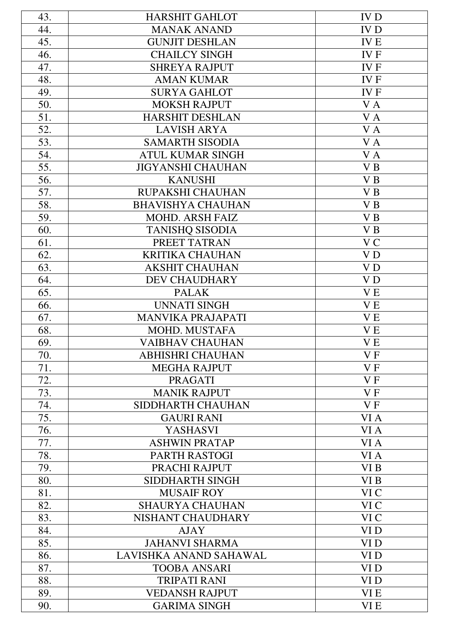| 43. | <b>HARSHIT GAHLOT</b>    | <b>IVD</b>      |
|-----|--------------------------|-----------------|
| 44. | <b>MANAK ANAND</b>       | <b>IVD</b>      |
| 45. | <b>GUNJIT DESHLAN</b>    | <b>IVE</b>      |
| 46. | <b>CHAILCY SINGH</b>     | <b>IVF</b>      |
| 47. | <b>SHREYA RAJPUT</b>     | <b>IVF</b>      |
| 48. | <b>AMAN KUMAR</b>        | <b>IVF</b>      |
| 49. | <b>SURYA GAHLOT</b>      | <b>IVF</b>      |
| 50. | <b>MOKSH RAJPUT</b>      | VA              |
| 51. | <b>HARSHIT DESHLAN</b>   | VA              |
| 52. | <b>LAVISH ARYA</b>       | V A             |
| 53. | <b>SAMARTH SISODIA</b>   | $\mathbf{V}$ A  |
| 54. | <b>ATUL KUMAR SINGH</b>  | VA              |
| 55. | <b>JIGYANSHI CHAUHAN</b> | V <sub>B</sub>  |
| 56. | <b>KANUSHI</b>           | VB              |
| 57. | RUPAKSHI CHAUHAN         | V B             |
| 58. | <b>BHAVISHYA CHAUHAN</b> | V <sub>B</sub>  |
| 59. | <b>MOHD. ARSH FAIZ</b>   | V <sub>B</sub>  |
| 60. | <b>TANISHQ SISODIA</b>   | VB              |
| 61. | PREET TATRAN             | V <sub>C</sub>  |
| 62. | <b>KRITIKA CHAUHAN</b>   | V <sub>D</sub>  |
| 63. | <b>AKSHIT CHAUHAN</b>    | V <sub>D</sub>  |
| 64. | <b>DEV CHAUDHARY</b>     | V <sub>D</sub>  |
| 65. | <b>PALAK</b>             | <b>VE</b>       |
| 66. | <b>UNNATI SINGH</b>      | V <sub>E</sub>  |
| 67. | <b>MANVIKA PRAJAPATI</b> | V E             |
| 68. | MOHD. MUSTAFA            | V <sub>E</sub>  |
| 69. | <b>VAIBHAV CHAUHAN</b>   | V <sub>E</sub>  |
| 70. | <b>ABHISHRI CHAUHAN</b>  | VF              |
| 71. | <b>MEGHA RAJPUT</b>      | V <sub>F</sub>  |
| 72. | <b>PRAGATI</b>           | VF              |
| 73. | <b>MANIK RAJPUT</b>      | VF              |
| 74. | SIDDHARTH CHAUHAN        | VF              |
| 75. | <b>GAURI RANI</b>        | VI A            |
| 76. | <b>YASHASVI</b>          | VI A            |
| 77. | <b>ASHWIN PRATAP</b>     | VI A            |
| 78. | PARTH RASTOGI            | VI A            |
| 79. | PRACHI RAJPUT            | VI B            |
| 80. | SIDDHARTH SINGH          | VI B            |
| 81. | <b>MUSAIF ROY</b>        | VI C            |
| 82. | <b>SHAURYA CHAUHAN</b>   | VI C            |
| 83. | NISHANT CHAUDHARY        | VI C            |
| 84. | <b>AJAY</b>              | VI <sub>D</sub> |
| 85. | <b>JAHANVI SHARMA</b>    | VI <sub>D</sub> |
| 86. | LAVISHKA ANAND SAHAWAL   | VI <sub>D</sub> |
| 87. | <b>TOOBA ANSARI</b>      | VI <sub>D</sub> |
| 88. | <b>TRIPATI RANI</b>      | VI <sub>D</sub> |
| 89. | <b>VEDANSH RAJPUT</b>    | VI E            |
| 90. | <b>GARIMA SINGH</b>      | VI E            |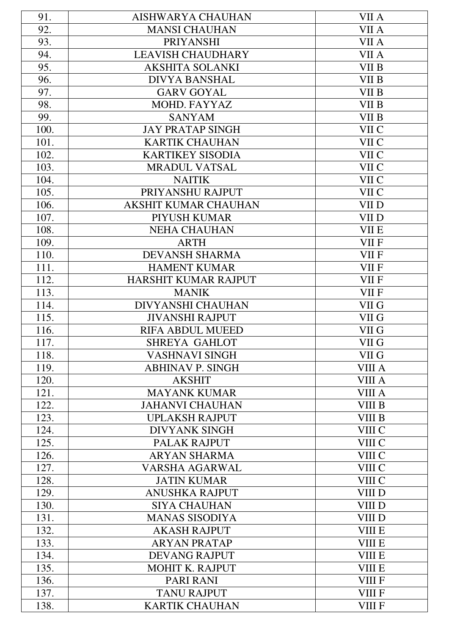| 91.  | <b>AISHWARYA CHAUHAN</b>    | VII A         |
|------|-----------------------------|---------------|
| 92.  | <b>MANSI CHAUHAN</b>        | VII A         |
| 93.  | <b>PRIYANSHI</b>            | VII A         |
| 94.  | <b>LEAVISH CHAUDHARY</b>    | VII A         |
| 95.  | <b>AKSHITA SOLANKI</b>      | VII B         |
| 96.  | <b>DIVYA BANSHAL</b>        | VII B         |
| 97.  | <b>GARV GOYAL</b>           | VII B         |
| 98.  | MOHD. FAYYAZ                | VII B         |
| 99.  | <b>SANYAM</b>               | VII B         |
| 100. | <b>JAY PRATAP SINGH</b>     | VII C         |
| 101. | <b>KARTIK CHAUHAN</b>       | VII C         |
| 102. | <b>KARTIKEY SISODIA</b>     | VII C         |
| 103. | <b>MRADUL VATSAL</b>        | VII C         |
| 104. | <b>NAITIK</b>               | VII C         |
| 105. | PRIYANSHU RAJPUT            | VII C         |
| 106. | <b>AKSHIT KUMAR CHAUHAN</b> | VII D         |
| 107. | PIYUSH KUMAR                | VII D         |
| 108. | <b>NEHA CHAUHAN</b>         | <b>VII E</b>  |
| 109. | <b>ARTH</b>                 | VII F         |
| 110. | <b>DEVANSH SHARMA</b>       | <b>VII F</b>  |
| 111. | <b>HAMENT KUMAR</b>         | <b>VII F</b>  |
| 112. | HARSHIT KUMAR RAJPUT        | VII F         |
| 113. | <b>MANIK</b>                | VII F         |
| 114. | <b>DIVYANSHI CHAUHAN</b>    | VII G         |
| 115. | <b>JIVANSHI RAJPUT</b>      | VII G         |
| 116. | <b>RIFA ABDUL MUEED</b>     | VII G         |
| 117. | <b>SHREYA GAHLOT</b>        | VII G         |
| 118. | <b>VASHNAVI SINGH</b>       | VII G         |
| 119. | <b>ABHINAV P. SINGH</b>     | <b>VIII A</b> |
| 120. | <b>AKSHIT</b>               | VIII A        |
| 121. | <b>MAYANK KUMAR</b>         | VIII A        |
| 122. | <b>JAHANVI CHAUHAN</b>      | VIII B        |
| 123. | <b>UPLAKSH RAJPUT</b>       | <b>VIII B</b> |
| 124. | <b>DIVYANK SINGH</b>        | VIII C        |
| 125. | PALAK RAJPUT                | VIII C        |
| 126. | <b>ARYAN SHARMA</b>         | VIII C        |
| 127. | <b>VARSHA AGARWAL</b>       | VIII C        |
| 128. | <b>JATIN KUMAR</b>          | VIII C        |
| 129. | <b>ANUSHKA RAJPUT</b>       | VIII D        |
| 130. | <b>SIYA CHAUHAN</b>         | VIII D        |
| 131. | <b>MANAS SISODIYA</b>       | VIII D        |
| 132. | <b>AKASH RAJPUT</b>         | <b>VIII E</b> |
| 133. | <b>ARYAN PRATAP</b>         | <b>VIII E</b> |
| 134. | <b>DEVANG RAJPUT</b>        | <b>VIII E</b> |
| 135. | MOHIT K. RAJPUT             | <b>VIII E</b> |
| 136. | <b>PARI RANI</b>            | <b>VIII F</b> |
| 137. | <b>TANU RAJPUT</b>          | <b>VIII F</b> |
| 138. | <b>KARTIK CHAUHAN</b>       | <b>VIII F</b> |